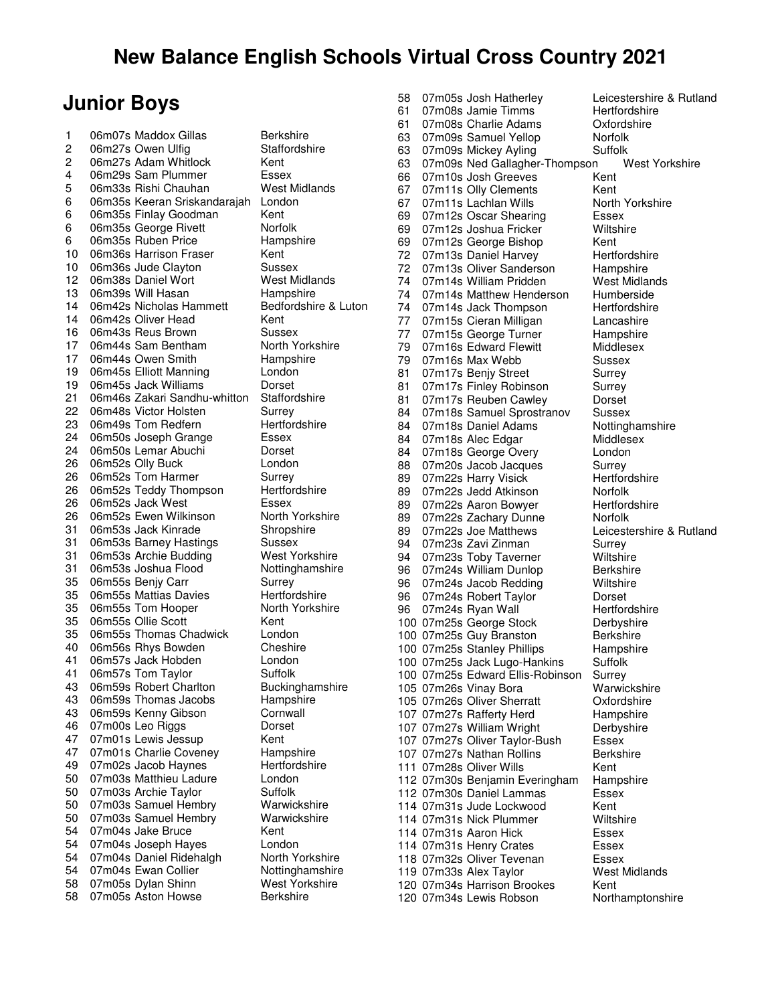#### **Junior Boys**

1 06m07s Maddox Gillas Berkshire<br>2 06m27s Owen Ulfig Staffordshire 2 06m27s Owen Ulfig<br>2 06m27s Adam Whitl 2 06m27s Adam Whitlock Kent<br>4 06m29s Sam Plummer Essex 4 06m29s Sam Plummer Essex<br>5 06m33s Rishi Chauhan Mest Midlands 06m33s Rishi Chauhan 6 06m35s Keeran Sriskandarajah London 6 06m35s Finlay Goodman Kent 6 06m35s George Rivett Norfolk 6 06m35s Ruben Price Hampshire 10 06m36s Harrison Fraser Kent 10 06m36s Jude Clayton Sussex 12 06m38s Daniel Wort West Midlands 13 06m39s Will Hasan Hampshire 14 06m42s Nicholas Hammett Bedfordshire & Luton<br>14 06m42s Oliver Head<br>Kent 14 06m42s Oliver Head Kent<br>16 06m43s Reus Brown Sussex 06m43s Reus Brown 17 06m44s Sam Bentham North Yorkshire 17 06m44s Owen Smith Hampshire 19 06m45s Elliott Manning London 19 06m45s Jack Williams Dorset<br>21 06m46s Zakari Sandhu-whitton Staffordshire 06m46s Zakari Sandhu-whitton 22 06m48s Victor Holsten Surrey<br>23 06m49s Tom Redfern Seretfordshire 23 06m49s Tom Redfern<br>24 06m50s Joseph Grand 24 06m50s Joseph Grange Essex 06m50s Lemar Abuchi Dorset 26 06m52s Olly Buck London 26 06m52s Tom Harmer Surrey<br>26 06m52s Teddy Thompson Hertfordshire 26 06m52s Teddy Thompson Hertfor<br>26 06m52s Jack West Essex 26 06m52s Jack West **Essex**<br>26 06m52s Ewen Wilkinson Morth Yorkshire 06m52s Ewen Wilkinson 31 06m53s Jack Kinrade Shropshire 31 06m53s Barney Hastings Sussex 31 06m53s Archie Budding West Yorkshire 31 06m53s Joshua Flood Nottinghamshire 35 06m55s Benjy Carr Surrey<br>35 06m55s Mattias Davies Surret Hertfordshire 35 06m55s Mattias Davies 35 06m55s Tom Hooper North Yorkshire<br>35 06m55s Ollie Scott Kent 06m55s Ollie Scott Kent 35 06m55s Thomas Chadwick London 40 06m56s Rhys Bowden Cheshire<br>41 06m57s Jack Hobden London 06m57s Jack Hobden 41 06m57s Tom Taylor Suffolk<br>43 06m59s Robert Charlton Buckinghamshire 43 06m59s Robert Charlton Buckingham<br>43 06m59s Thomas Jacobs Hampshire 43 06m59s Thomas Jacobs Hampshire<br>43 06m59s Kenny Gibson Cornwall 06m59s Kenny Gibson 46 07m00s Leo Riggs Dorset 47 07m01s Lewis Jessup Kent 47 07m01s Charlie Coveney Hampshire<br>49 07m02s Jacob Haynes Hertfordshire 49 07m02s Jacob Haynes Hertford<br>50 07m03s Matthieu Ladure London 50 07m03s Matthieu Ladure 50 07m03s Archie Taylor Suffolk 50 07m03s Samuel Hembry Warwickshire<br>50 07m03s Samuel Hembry Warwickshire 50 07m03s Samuel Hembry Warv<br>54 07m04s Jake Bruce Kent 54 07m04s Jake Bruce Kent<br>54 07m04s Joseph Haves London 07m04s Joseph Hayes London<br>07m04s Daniel Ridehalgh North Yorkshire 54 07m04s Daniel Ridehalgh North Yorkshire<br>54 07m04s Ewan Collier Nottinghamshire 54 07m04s Ewan Collier **Nottinghamshire**<br>58 07m05s Dylan Shinn Mest Yorkshire 58 07m05s Dylan Shinn 58 07m05s Aston Howse Berkshire

58 07m05s Josh Hatherley Leicestershire & Rutland 61 07m08s Jamie Timms Hertfordshire<br>61 07m08s Charlie Adams Cxfordshire 61 07m08s Charlie Adams 63 07m09s Samuel Yellop Norfolk 63 07m09s Mickey Ayling Suffolk 63 07m09s Ned Gallagher-Thompson West Yorkshire 66 07m10s Josh Greeves Kent 67 07m11s Olly Clements Kent<br>67 07m11s Lachlan Wills North Yorkshire 67 07m11s Lachlan Wills North North North North New Yorkshire New Yorkshire New Yorkshire New Yorkshire New Yorkshire New Yorkshire New Yorkshire New Yorkshire New Yorkshire New Yorkshire New Yorkshire New Yorkshire New Yo 69 07m12s Oscar Shearing Essex<br>69 07m12s Joshua Fricker Wiltshire 69 07m12s Joshua Fricker Wilts<br>69 07m12s George Bishop Kent 07m12s George Bishop 72 07m13s Daniel Harvey Hertfordshire 72 07m13s Oliver Sanderson Hampshire<br>74 07m14s William Pridden Mest Midlands 74 07m14s William Pridden Mest Midlan<br>74 07m14s Matthew Henderson Humberside 07m14s Matthew Henderson 74 07m14s Jack Thompson Hertfordshire 77 07m15s Cieran Milligan Lancashire<br>77 07m15s George Turner Hampshire 77 07m15s George Turner Hampshire<br>79 07m16s Edward Flewitt Middlesex 79 07m16s Edward Flewitt<br>79 07m16s Max Webb 07m16s Max Webb Sussex 81 07m17s Benjy Street Surrey 81 07m17s Finley Robinson Surrey 81 07m17s Reuben Cawley Dorset<br>84 07m18s Samuel Sprostranov Sussex 07m18s Samuel Sprostranov Sussex<br>07m18s Daniel Adams Mottinghamshire 84 07m18s Daniel Adams 84 07m18s Alec Edgar Middlesex 84 07m18s George Overy London 88 07m20s Jacob Jacques Surrey<br>89 07m22s Harry Visick Seretfordshire 89 07m22s Harry Visick 89 07m22s Jedd Atkinson Morfolk<br>89 07m22s Aaron Bowver Hertfordshire 89 07m22s Aaron Bowyer 89 07m22s Zachary Dunne Norfolk<br>89 07m22s Joe Matthews Leicest 89 07m22s Joe Matthews Leicestershire & Rutland<br>94 07m23s Zavi Zinman Surrey 94 07m23s Zavi Zinman Surrey<br>94 07m23s Toby Taverner Miltshire 07m23s Toby Taverner 96 07m24s William Dunlop Berkshire 96 07m24s Jacob Redding Wiltshire 96 07m24s Robert Taylor Dorset 07m24s Ryan Wall **Hertfordshire**<br>07m25s George Stock **Derbyshire** 100 07m25s George Stock 100 07m25s Guy Branston Berkshire 100 07m25s Stanley Phillips Hampshire 100 07m25s Jack Lugo-Hankins Suffolk<br>100 07m25s Edward Ellis-Robinson Surrey 100 07m25s Edward Ellis-Robinson Surrey 105 07m26s Vinay Bora 105 07m26s Oliver Sherratt Oxfordshire 107 07m27s Rafferty Herd Hampshire<br>107 07m27s William Wright Derbyshire 107 07m27s William Wright Derbyshire Derbyshire Derbyshire Derbyshire Derbyshire Derbyshire Derbyshire Derbyshire Derbyshire Derbyshire Derbyshire Derbyshire Derbyshire Derbyshire Derbyshire Derbyshire Derbyshire Derbyshir 107 07m27s Oliver Taylor-Bush Essex<br>107 07m27s Nathan Rollins Berkshire 107 07m27s Nathan Rollins 111 07m28s Oliver Wills Kent<br>112 07m30s Beniamin Everingham Hampshire 112 07m30s Benjamin Everingham Hampshire 12 07m30s Daniel Lammas 112 07m30s Daniel Lammas 114 07m31s Jude Lockwood Kent<br>114 07m31s Nick Plummer Miltshire 114 07m31s Nick Plummer 114 07m31s Aaron Hick Essex 114 07m31s Henry Crates Essex 118 07m32s Oliver Tevenan Essex<br>119 07m33s Alex Tavlor **Nest Midlands** 119 07m33s Alex Taylor Mest<br>120 07m34s Harrison Brookes Kent 120 07m34s Harrison Brookes Kent<br>120 07m34s Lewis Robson Morthamptonshire 120 07m34s Lewis Robson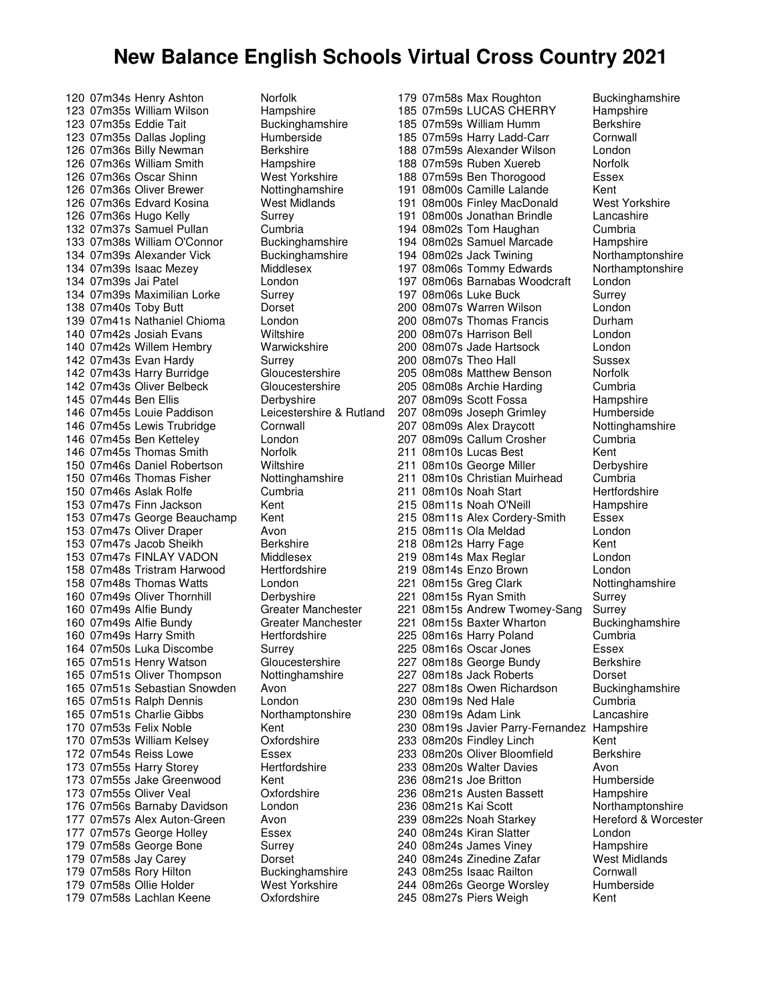120 07m34s Henry Ashton Norfolk<br>123 07m35s William Wilson Hampshire 123 07m35s William Wilson and Hampshire<br>123 07m35s Eddie Tait buckinghamshire 123 07m35s Eddie Tait 123 07m35s Dallas Jopling Humberside 126 07m36s Billy Newman Berkshire 126 07m36s William Smith Hampshire 126 07m36s Oscar Shinn West Yorkshire 126 07m36s Oliver Brewer Nottinghamshire 126 07m36s Edvard Kosina West Midlands<br>126 07m36s Hugo Kelly Surrey 126 07m36s Hugo Kelly Surrey<br>132 07m37s Samuel Pullan Cumbria 132 07m37s Samuel Pullan Cumbria<br>133 07m38s William O'Connor Buckinghamshire 133 07m38s William O'Connor 134 07m39s Alexander Vick Buckinghamshire 134 07m39s Isaac Mezey Middlesex<br>134 07m39s Jai Patel Michael London 134 07m39s Jai Patel **London**<br>134 07m39s Maximilian Lorke Surrey 134 07m39s Maximilian Lorke 138 07m40s Toby Butt Dorset 139 07m41s Nathaniel Chioma London 140 07m42s Josiah Evans Wiltshire<br>140 07m42s Willem Hembry Warwickshire 140 07m42s Willem Hembry 142 07m43s Evan Hardy Surrey 142 07m43s Harry Burridge Gloucestershire 142 07m43s Oliver Belbeck Gloucestershire 145 07m44s Ben Ellis **Derbyshire**<br>146 07m45s Louie Paddison Leicestershire & Rutland 146 07m45s Louie Paddison Leicester<br>146 07m45s Lewis Trubridge Cornwall 146 07m45s Lewis Trubridge 146 07m45s Ben Ketteley London 146 07m45s Thomas Smith Norfolk 150 07m46s Daniel Robertson Wiltshire 150 07m46s Thomas Fisher Nottinghamshire 150 07m46s Aslak Rolfe Cumbria 153 07m47s Finn Jackson Kent 153 07m47s George Beauchamp Kent 153 07m47s Oliver Draper Avon<br>153 07m47s Jacob Sheikh Berkshire 153 07m47s Jacob Sheikh Berkshire<br>153 07m47s FINI AY VADON Middlesex 153 07m47s FINLAY VADON 158 07m48s Tristram Harwood Hertfordshire 158 07m48s Thomas Watts London 160 07m49s Oliver Thornhill **Derbyshire**<br>160 07m49s Alfie Bundy **Democratish Constant Constant** 160 07m49s Alfie Bundy<br>160 07m49s Alfie Bundy Greater Manchester 160 07m49s Alfie Bundy 160 07m49s Harry Smith Hertfordshire 164 07m50s Luka Discombe Surrey 165 07m51s Henry Watson Gloucestershire<br>165 07m51s Oliver Thompson Nottinghamshire 165 07m51s Oliver Thompson 165 07m51s Sebastian Snowden Avon 165 07m51s Ralph Dennis London 165 07m51s Charlie Gibbs Northamptonshire 170 07m53s Felix Noble Kent<br>170 07m53s William Kelsev Cyfordshire 170 07m53s William Kelsey Cxford<br>172 07m54s Reiss Lowe Casex 172 07m54s Reiss Lowe Essex<br>173 07m55s Harry Storey Bertfordshire 173 07m55s Harry Storey 173 07m55s Jake Greenwood Kent<br>173 07m55s Oliver Veal Cxfordshire 173 07m55s Oliver Veal 176 07m56s Barnaby Davidson London 177 07m57s Alex Auton-Green Avon 177 07m57s George Holley Essex 179 07m58s George Bone Surrey 179 07m58s Jay Carey **Dorset**<br>179 07m58s Rory Hilton Buckinghamshire 179 07m58s Rory Hilton Buckinghamshire<br>179 07m58s Ollie Holder Mest Yorkshire 179 07m58s Ollie Holder West Yorkshire<br>179 07m58s Lachlan Keene Oxfordshire 179 07m58s Lachlan Keene

179 07m58s Max Roughton Buckinghamshire<br>185 07m59s LUCAS CHERRY Hampshire 185 07m59s LUCAS CHERRY Hampshir<br>185 07m59s William Humm Berkshire 185 07m59s William Humm 185 07m59s Harry Ladd-Carr Cornwall 188 07m59s Alexander Wilson London 188 07m59s Ruben Xuereb 188 07m59s Ben Thorogood Essex 191 08m00s Camille Lalande Kent 191 08m00s Finley MacDonald West Yorkshire<br>191 08m00s Jonathan Brindle Lancashire 191 08m00s Jonathan Brindle Lancashire<br>194 08m02s Tom Haughan Cumbria 194 08m02s Tom Haughan Cumbria<br>194 08m02s Samuel Marcade Hampshire 194 08m02s Samuel Marcade 194 08m02s Jack Twining Northamptonshire 197 08m06s Tommy Edwards Morthamptonshire<br>197 08m06s Barnabas Woodcraft London 197 08m06s Barnabas Woodcraft 197 08m06s Luke Buck Surrey 200 08m07s Warren Wilson London 200 08m07s Thomas Francis Durham 200 08m07s Harrison Bell London 200 08m07s Jade Hartsock London 200 08m07s Theo Hall Sussex 205 08m08s Matthew Benson Norfolk 205 08m08s Archie Harding Cumbria 207 08m09s Scott Fossa<br>207 08m09s Joseph Grimley Humberside 207 08m09s Joseph Grimley Humberside<br>207 08m09s Alex Draycott Nottinghamshire 207 08m09s Alex Draycott 207 08m09s Callum Crosher Cumbria 211 08m10s Lucas Best Kent 211 08m10s George Miller Derbyshire 211 08m10s Christian Muirhead Cumbria 211 08m10s Noah Start Hertfordshire 215 08m11s Noah O'Neill Hampshire 215 08m11s Alex Cordery-Smith Essex 215 08m11s Ola Meldad London<br>218 08m12s Harry Eage Kent 218 08m12s Harry Fage Kent<br>219 08m14s Max Regiar Kanton London 219 08m14s Max Reglar 219 08m14s Enzo Brown London 221 08m15s Greg Clark Nottinghamshire 221 08m15s Ryan Smith Surrey<br>221 08m15s Andrew Twomev-Sang Surrey 221 08m15s Andrew Twomey-Sang Surrey<br>221 08m15s Baxter Wharton Buckinghamshire 08m15s Baxter Wharton 225 08m16s Harry Poland Cumbria 225 08m16s Oscar Jones Essex 227 08m18s George Bundy Berkshire<br>227 08m18s Jack Roberts Borset 08m18s Jack Roberts **Dorset**<br>08m18s Owen Richardson Buckinghamshire 227 08m18s Owen Richardson 230 08m19s Ned Hale Cumbria 230 08m19s Adam Link Lancashire 230 08m19s Javier Parry-Fernandez Hampshire<br>233 08m20s Findlev Linch<br>233 08m20s Findlev Linch 233 08m20s Findley Linch Kent<br>233 08m20s Oliver Bloomfield Berkshire 233 08m20s Oliver Bloomfield 233 08m20s Walter Davies **Avon** 236 08m21s Joe Britton Humberside 236 08m21s Austen Bassett Hampshire 236 08m21s Kai Scott Northamptonshire 239 08m22s Noah Starkey Hereford & Worcester 240 08m24s Kiran Slatter London 240 08m24s James Viney Hampshire 240 08m24s Zinedine Zafar West Midlands<br>243 08m25s Isaac Railton Cornwall 243 08m25s Isaac Railton Cornwall<br>244 08m26s George Worsley Humberside 244 08m26s George Worsley Hum<br>245 08m27s Piers Weigh Hent 245 08m27s Piers Weigh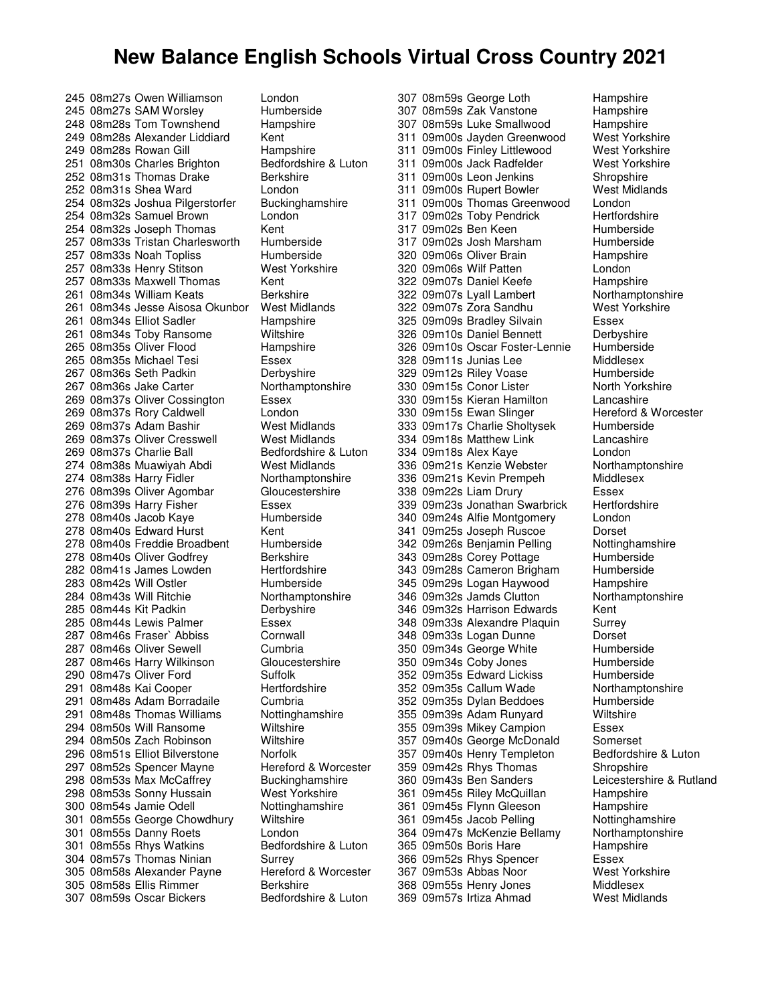245 08m27s Owen Williamson London 245 08m27s SAM Worsley Humberside 248 08m28s Tom Townshend Hampshire 249 08m28s Alexander Liddiard Kent 249 08m28s Rowan Gill Hampshire 251 08m30s Charles Brighton Bedfordshire & Luton 252 08m31s Thomas Drake Berkshire 252 08m31s Shea Ward London 254 08m32s Joshua Pilgerstorfer Buckinghamshire 254 08m32s Samuel Brown Lond<br>254 08m32s Joseph Thomas Kent 254 08m32s Joseph Thomas Kent<br>257 08m33s Tristan Charlesworth Humberside 257 08m33s Tristan Charlesworth 257 08m33s Noah Topliss Humberside 257 08m33s Henry Stitson West Yorkshire 257 08m33s Maxwell Thomas Kent<br>261 08m34s William Keats Berkshire 261 08m34s William Keats 261 08m34s Jesse Aisosa Okunbor West Midlands 261 08m34s Elliot Sadler Hampshire 261 08m34s Toby Ransome Wiltshire 265 08m35s Oliver Flood Hampshire 265 08m35s Michael Tesi Essex 267 08m36s Seth Padkin Derbyshire 267 08m36s Jake Carter Northamptonshire 269 08m37s Oliver Cossington Essex<br>269 08m37s Rory Caldwell London 269 08m37s Rory Caldwell **London**<br>269 08m37s Adam Bashir **Nest Midlands** 269 08m37s Adam Bashir 269 08m37s Oliver Cresswell West Midlands 269 08m37s Charlie Ball Bedfordshire & Luton 274 08m38s Muawiyah Abdi West Midlands 274 08m38s Harry Fidler Northamptonshire 276 08m39s Oliver Agombar Gloucestershire 276 08m39s Harry Fisher Essex 278 08m40s Jacob Kaye Humberside 278 08m40s Edward Hurst Kent<br>278 08m40s Freddie Broadbent Humberside 278 08m40s Freddie Broadbent Humbersiden<br>278 08m40s Oliver Godfrey Berkshire 278 08m40s Oliver Godfrey 282 08m41s James Lowden Hertfordshire 283 08m42s Will Ostler Humberside 284 08m43s Will Ritchie Northamptonshire 285 08m44s Kit Padkin **Derbyshire**<br>285 08m44s Lewis Palmer Bussex 285 08m44s Lewis Palmer 287 08m46s Fraser` Abbiss Cornwall 287 08m46s Oliver Sewell Cumbria 287 08m46s Harry Wilkinson Gloucestershire 290 08m47s Oliver Ford Suffolk<br>291 08m48s Kai Cooper Suffordshire 291 08m48s Kai Cooper 291 08m48s Adam Borradaile Cumbria 291 08m48s Thomas Williams Nottinghamshire 294 08m50s Will Ransome Wiltshire 294 08m50s Zach Robinson Wiltshir<br>296 08m51s Elliot Bilverstone Norfolk 296 08m51s Elliot Bilverstone Norfolk<br>297 08m52s Spencer Mayne Hereford & Worcester 297 08m52s Spencer Mayne 298 08m53s Max McCaffrey Buckinghamshire<br>298 08m53s Sonny Hussain West Yorkshire 298 08m53s Sonny Hussain 300 08m54s Jamie Odell Nottinghamshire 301 08m55s George Chowdhury Wiltshire 301 08m55s Danny Roets London 301 08m55s Rhys Watkins Bedfordshire & Luton 304 08m57s Thomas Ninian Surrey<br>305 08m58s Alexander Payne Hereford & Worcester 305 08m58s Alexander Payne Hereford & Hereford & Worcester 305 08m58s Ellis Rimmer <sup>1</sup> Berkshire<br>307 08m59s Oscar Bickers 1 Bedfordshire & Luton 307 08m59s Oscar Bickers

307 08m59s George Loth Hampshire 307 08m59s Zak Vanstone Hampshire 307 08m59s Luke Smallwood 311 09m00s Jayden Greenwood West Yorkshire 311 09m00s Finley Littlewood West Yorkshire 311 09m00s Jack Radfelder West Yorkshire 311 09m00s Leon Jenkins Shropshire 311 09m00s Rupert Bowler West Midlands 311 09m00s Thomas Greenwood London 317 09m02s Toby Pendrick and Hertfordshire<br>317 09m02s Ben Keen and Humberside 317 09m02s Ben Keen Mumberside<br>317 09m02s Josh Marsham Humberside 317 09m02s Josh Marsham 320 09m06s Oliver Brain Hampshire 320 09m06s Wilf Patten London<br>322 09m07s Daniel Keefe Hampshire 322 09m07s Daniel Keefe Frampshire<br>322 09m07s Lyall Lambert Fram Northamptonshire 322 09m07s Lyall Lambert 322 09m07s Zora Sandhu West Yorkshire 325 09m09s Bradley Silvain Essex 326 09m10s Daniel Bennett Derbyshire 326 09m10s Oscar Foster-Lennie Humberside 328 09m11s Junias Lee Middlesex 329 09m12s Riley Voase Humberside 330 09m15s Conor Lister North Yorkshire 330 09m15s Kieran Hamilton Lancashire<br>330 09m15s Ewan Slinger Hereford & Worcester 330 09m15s Ewan Slinger **Hereford & V** Hereford & V<br>333 09m17s Charlie Sholtvsek Humberside 333 09m17s Charlie Sholtysek 334 09m18s Matthew Link Lancashire 334 09m18s Alex Kaye **London**<br>336 09m21s Kenzie Webster **Northamptonshire** 336 09m21s Kenzie Webster 336 09m21s Kevin Prempeh Middlesex 338 09m22s Liam Drury **ESSEX**<br>339 09m23s Jonathan Swarbrick Hertfordshire 339 09m23s Jonathan Swarbrick 340 09m24s Alfie Montgomery London 341 09m25s Joseph Ruscoe Dorset 342 09m26s Benjamin Pelling Nottinghams<br>343 09m28s Corev Pottage Humberside 343 09m28s Corey Pottage 343 09m28s Cameron Brigham Humberside 345 09m29s Logan Haywood Hampshire 346 09m32s Jamds Clutton Northamptonshire 346 09m32s Harrison Edwards Kent<br>348 09m33s Alexandre Plaquin Surrey 348 09m33s Alexandre Plaquin 348 09m33s Logan Dunne Dorset 350 09m34s George White Humberside 350 09m34s Coby Jones Fumberside<br>352 09m35s Edward Lickiss Fumberside 352 09m35s Edward Lickiss and Humberside<br>352 09m35s Callum Wade and Northamptonshire 352 09m35s Callum Wade 352 09m35s Dylan Beddoes Humberside 355 09m39s Adam Runyard Wiltshire 355 09m39s Mikey Campion Fessex<br>357 09m40s George McDonald Somerset 357 09m40s George McDonald Somerset<br>357 09m40s Henry Templeton Bedfordshire & Luton 357 09m40s Henry Templeton 359 09m42s Rhys Thomas Shropshire<br>360 09m43s Ben Sanders Shropstershire 361 09m45s Riley McQuillan Hampshire 361 09m45s Flynn Gleeson Hampshire 361 09m45s Jacob Pelling Nottinghamshire 364 09m47s McKenzie Bellamy Northamptonshire 365 09m50s Boris Hare Hampshire 366 09m52s Rhys Spencer Essex<br>367 09m53s Abbas Noor West Yorkshire 367 09m53s Abbas Noor Mest Yorkshire West Yorkshire West Yorkshire West Yorkshire West Yorkshire West Yorkshire S 368 09m55s Henry Jones Middlesex 369 09m57s Irtiza Ahmad

Leicestershire & Rutland